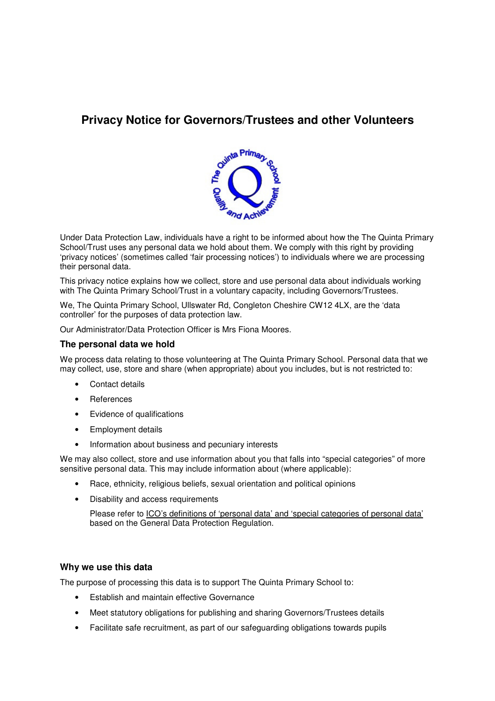# **Privacy Notice for Governors/Trustees and other Volunteers**



Under Data Protection Law, individuals have a right to be informed about how the The Quinta Primary School/Trust uses any personal data we hold about them. We comply with this right by providing 'privacy notices' (sometimes called 'fair processing notices') to individuals where we are processing their personal data.

This privacy notice explains how we collect, store and use personal data about individuals working with The Quinta Primary School/Trust in a voluntary capacity, including Governors/Trustees.

We, The Quinta Primary School, Ullswater Rd, Congleton Cheshire CW12 4LX, are the 'data controller' for the purposes of data protection law.

Our Administrator/Data Protection Officer is Mrs Fiona Moores.

## **The personal data we hold**

We process data relating to those volunteering at The Quinta Primary School. Personal data that we may collect, use, store and share (when appropriate) about you includes, but is not restricted to:

- Contact details
- References
- Evidence of qualifications
- Employment details
- Information about business and pecuniary interests

We may also collect, store and use information about you that falls into "special categories" of more sensitive personal data. This may include information about (where applicable):

- Race, ethnicity, religious beliefs, sexual orientation and political opinions
- Disability and access requirements

Please refer to ICO's definitions of 'personal data' and 'special categories of personal data' based on the General Data Protection Regulation.

## **Why we use this data**

The purpose of processing this data is to support The Quinta Primary School to:

- Establish and maintain effective Governance
- Meet statutory obligations for publishing and sharing Governors/Trustees details
- Facilitate safe recruitment, as part of our safeguarding obligations towards pupils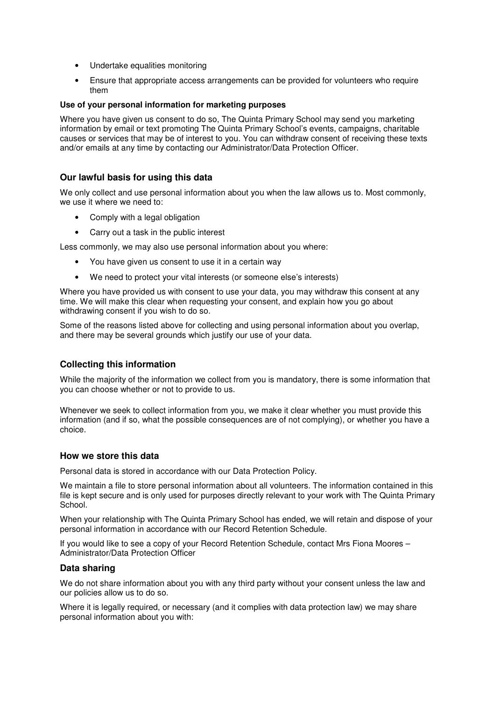- Undertake equalities monitoring
- Ensure that appropriate access arrangements can be provided for volunteers who require them

#### **Use of your personal information for marketing purposes**

Where you have given us consent to do so, The Quinta Primary School may send you marketing information by email or text promoting The Quinta Primary School's events, campaigns, charitable causes or services that may be of interest to you. You can withdraw consent of receiving these texts and/or emails at any time by contacting our Administrator/Data Protection Officer.

# **Our lawful basis for using this data**

We only collect and use personal information about you when the law allows us to. Most commonly, we use it where we need to:

- Comply with a legal obligation
- Carry out a task in the public interest

Less commonly, we may also use personal information about you where:

- You have given us consent to use it in a certain way
- We need to protect your vital interests (or someone else's interests)

Where you have provided us with consent to use your data, you may withdraw this consent at any time. We will make this clear when requesting your consent, and explain how you go about withdrawing consent if you wish to do so.

Some of the reasons listed above for collecting and using personal information about you overlap, and there may be several grounds which justify our use of your data.

# **Collecting this information**

While the majority of the information we collect from you is mandatory, there is some information that you can choose whether or not to provide to us.

Whenever we seek to collect information from you, we make it clear whether you must provide this information (and if so, what the possible consequences are of not complying), or whether you have a choice.

## **How we store this data**

Personal data is stored in accordance with our Data Protection Policy.

We maintain a file to store personal information about all volunteers. The information contained in this file is kept secure and is only used for purposes directly relevant to your work with The Quinta Primary School.

When your relationship with The Quinta Primary School has ended, we will retain and dispose of your personal information in accordance with our Record Retention Schedule.

If you would like to see a copy of your Record Retention Schedule, contact Mrs Fiona Moores – Administrator/Data Protection Officer

## **Data sharing**

We do not share information about you with any third party without your consent unless the law and our policies allow us to do so.

Where it is legally required, or necessary (and it complies with data protection law) we may share personal information about you with: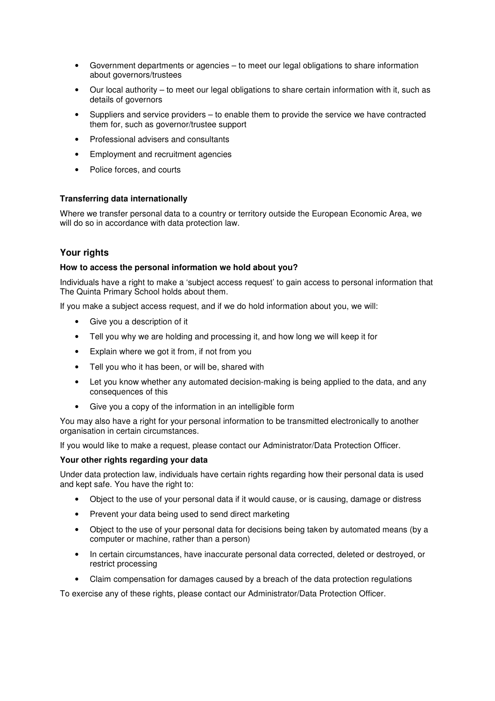- Government departments or agencies to meet our legal obligations to share information about governors/trustees
- Our local authority to meet our legal obligations to share certain information with it, such as details of governors
- Suppliers and service providers to enable them to provide the service we have contracted them for, such as governor/trustee support
- Professional advisers and consultants
- Employment and recruitment agencies
- Police forces, and courts

#### **Transferring data internationally**

Where we transfer personal data to a country or territory outside the European Economic Area, we will do so in accordance with data protection law.

## **Your rights**

#### **How to access the personal information we hold about you?**

Individuals have a right to make a 'subject access request' to gain access to personal information that The Quinta Primary School holds about them.

If you make a subject access request, and if we do hold information about you, we will:

- Give you a description of it
- Tell you why we are holding and processing it, and how long we will keep it for
- Explain where we got it from, if not from you
- Tell you who it has been, or will be, shared with
- Let you know whether any automated decision-making is being applied to the data, and any consequences of this
- Give you a copy of the information in an intelligible form

You may also have a right for your personal information to be transmitted electronically to another organisation in certain circumstances.

If you would like to make a request, please contact our Administrator/Data Protection Officer.

#### **Your other rights regarding your data**

Under data protection law, individuals have certain rights regarding how their personal data is used and kept safe. You have the right to:

- Object to the use of your personal data if it would cause, or is causing, damage or distress
- Prevent your data being used to send direct marketing
- Object to the use of your personal data for decisions being taken by automated means (by a computer or machine, rather than a person)
- In certain circumstances, have inaccurate personal data corrected, deleted or destroyed, or restrict processing
- Claim compensation for damages caused by a breach of the data protection regulations

To exercise any of these rights, please contact our Administrator/Data Protection Officer.